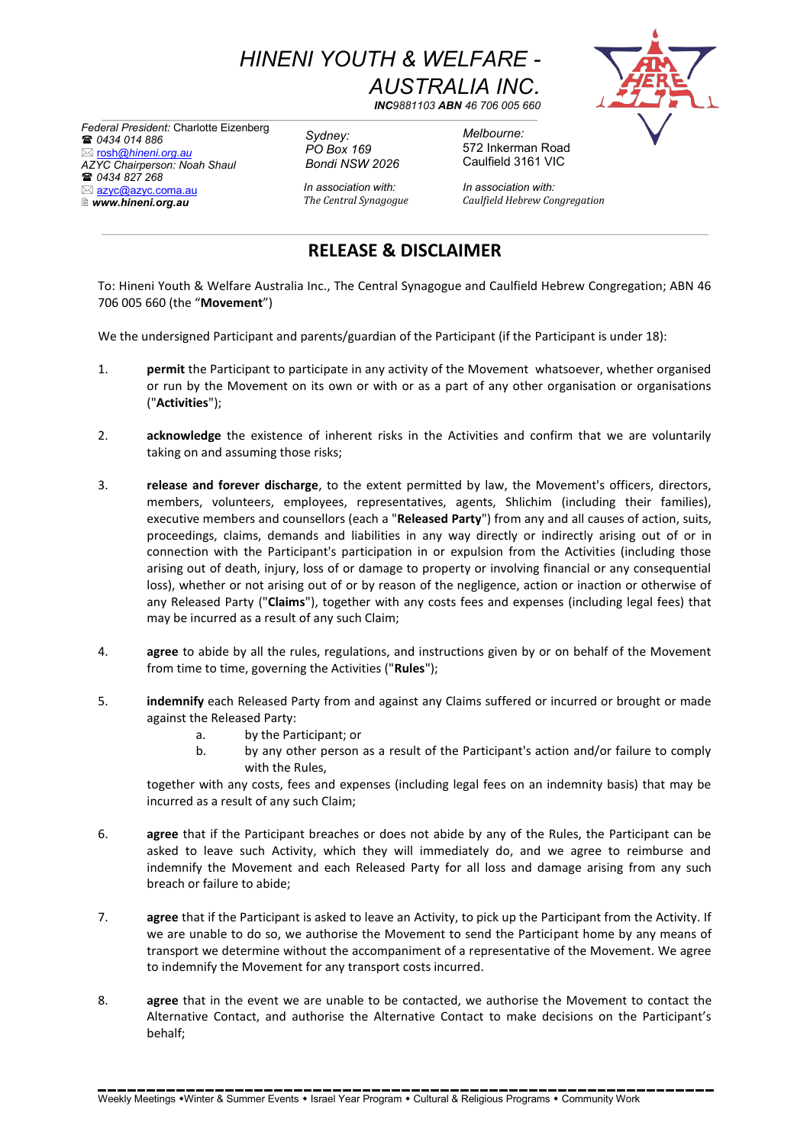*HINENI YOUTH & WELFARE - AUSTRALIA INC.*

*INC9881103 ABN 46 706 005 660*

*Federal President:* Charlotte Eizenberg *0434 014 886* rosh*@hineni.org.au AZYC Chairperson: Noah Shaul 0434 827 268* ⊠ azyc@azyc.coma.au *www.hineni.org.au*

*Sydney: PO Box 169 Bondi NSW 2026*

*Melbourne:* 572 Inkerman Road Caulfield 3161 VIC

*In association with: In association with: The Central Synagogue Caulfield Hebrew Congregation*

## **RELEASE & DISCLAIMER**

To: Hineni Youth & Welfare Australia Inc., The Central Synagogue and Caulfield Hebrew Congregation; ABN 46 706 005 660 (the "**Movement**")

We the undersigned Participant and parents/guardian of the Participant (if the Participant is under 18):

- 1. **permit** the Participant to participate in any activity of the Movement whatsoever, whether organised or run by the Movement on its own or with or as a part of any other organisation or organisations ("**Activities**");
- 2. **acknowledge** the existence of inherent risks in the Activities and confirm that we are voluntarily taking on and assuming those risks;
- 3. **release and forever discharge**, to the extent permitted by law, the Movement's officers, directors, members, volunteers, employees, representatives, agents, Shlichim (including their families), executive members and counsellors (each a "**Released Party**") from any and all causes of action, suits, proceedings, claims, demands and liabilities in any way directly or indirectly arising out of or in connection with the Participant's participation in or expulsion from the Activities (including those arising out of death, injury, loss of or damage to property or involving financial or any consequential loss), whether or not arising out of or by reason of the negligence, action or inaction or otherwise of any Released Party ("**Claims**"), together with any costs fees and expenses (including legal fees) that may be incurred as a result of any such Claim;
- 4. **agree** to abide by all the rules, regulations, and instructions given by or on behalf of the Movement from time to time, governing the Activities ("**Rules**");
- 5. **indemnify** each Released Party from and against any Claims suffered or incurred or brought or made against the Released Party:
	- a. by the Participant; or
	- b. by any other person as a result of the Participant's action and/or failure to comply with the Rules,

together with any costs, fees and expenses (including legal fees on an indemnity basis) that may be incurred as a result of any such Claim;

- 6. **agree** that if the Participant breaches or does not abide by any of the Rules, the Participant can be asked to leave such Activity, which they will immediately do, and we agree to reimburse and indemnify the Movement and each Released Party for all loss and damage arising from any such breach or failure to abide;
- 7. **agree** that if the Participant is asked to leave an Activity, to pick up the Participant from the Activity. If we are unable to do so, we authorise the Movement to send the Participant home by any means of transport we determine without the accompaniment of a representative of the Movement. We agree to indemnify the Movement for any transport costs incurred.
- 8. **agree** that in the event we are unable to be contacted, we authorise the Movement to contact the Alternative Contact, and authorise the Alternative Contact to make decisions on the Participant's behalf;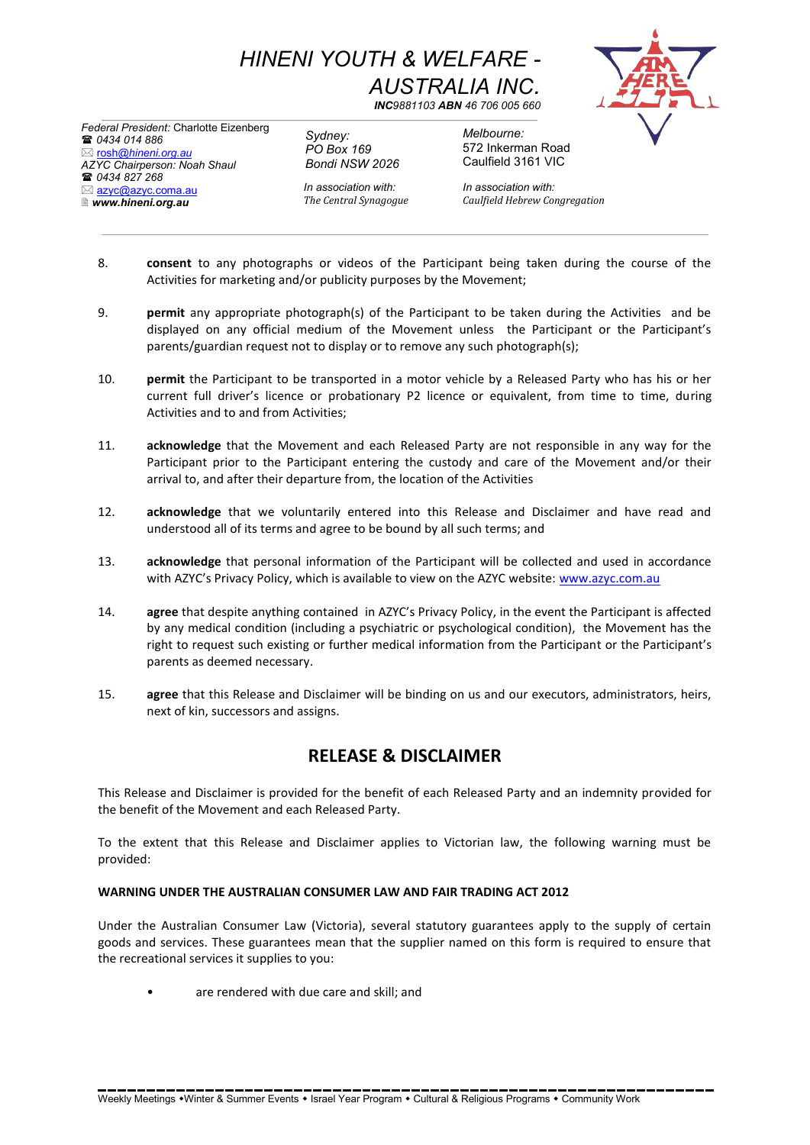*HINENI YOUTH & WELFARE - AUSTRALIA INC.*

*INC9881103 ABN 46 706 005 660*

*Federal President:* Charlotte Eizenberg *0434 014 886* rosh*@hineni.org.au AZYC Chairperson: Noah Shaul 0434 827 268* ⊠ azyc@azyc.coma.au *www.hineni.org.au*

*Sydney: PO Box 169 Bondi NSW 2026*

572 Inkerman Road Caulfield 3161 VIC

*Melbourne:*

*In association with: In association with: The Central Synagogue Caulfield Hebrew Congregation*

- 8. **consent** to any photographs or videos of the Participant being taken during the course of the Activities for marketing and/or publicity purposes by the Movement;
- 9. **permit** any appropriate photograph(s) of the Participant to be taken during the Activities and be displayed on any official medium of the Movement unless the Participant or the Participant's parents/guardian request not to display or to remove any such photograph(s);
- 10. **permit** the Participant to be transported in a motor vehicle by a Released Party who has his or her current full driver's licence or probationary P2 licence or equivalent, from time to time, during Activities and to and from Activities;
- 11. **acknowledge** that the Movement and each Released Party are not responsible in any way for the Participant prior to the Participant entering the custody and care of the Movement and/or their arrival to, and after their departure from, the location of the Activities
- 12. **acknowledge** that we voluntarily entered into this Release and Disclaimer and have read and understood all of its terms and agree to be bound by all such terms; and
- 13. **acknowledge** that personal information of the Participant will be collected and used in accordance with AZYC's Privacy Policy, which is available to view on the AZYC website: www.azyc.com.au
- 14. **agree** that despite anything contained in AZYC's Privacy Policy, in the event the Participant is affected by any medical condition (including a psychiatric or psychological condition), the Movement has the right to request such existing or further medical information from the Participant or the Participant's parents as deemed necessary.
- 15. **agree** that this Release and Disclaimer will be binding on us and our executors, administrators, heirs, next of kin, successors and assigns.

## **RELEASE & DISCLAIMER**

This Release and Disclaimer is provided for the benefit of each Released Party and an indemnity provided for the benefit of the Movement and each Released Party.

To the extent that this Release and Disclaimer applies to Victorian law, the following warning must be provided:

## **WARNING UNDER THE AUSTRALIAN CONSUMER LAW AND FAIR TRADING ACT 2012**

Under the Australian Consumer Law (Victoria), several statutory guarantees apply to the supply of certain goods and services. These guarantees mean that the supplier named on this form is required to ensure that the recreational services it supplies to you:

• are rendered with due care and skill; and